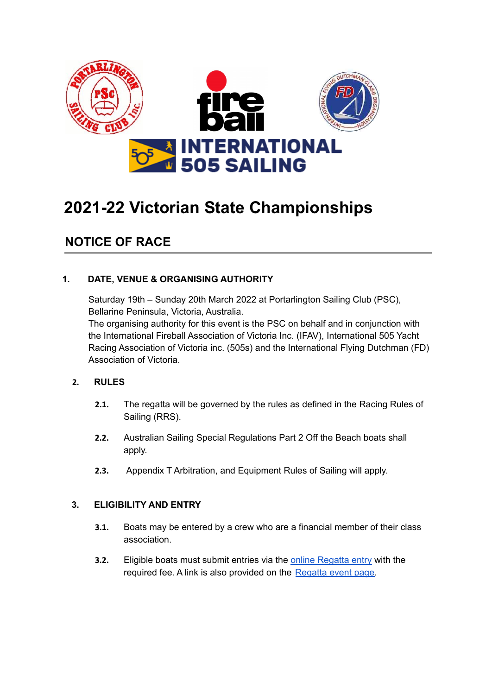

# **2021-22 Victorian State Championships**

# **NOTICE OF RACE**

# **1. DATE, VENUE & ORGANISING AUTHORITY**

Saturday 19th – Sunday 20th March 2022 at Portarlington Sailing Club (PSC), Bellarine Peninsula, Victoria, Australia.

The organising authority for this event is the PSC on behalf and in conjunction with the International Fireball Association of Victoria Inc. (IFAV), International 505 Yacht Racing Association of Victoria inc. (505s) and the International Flying Dutchman (FD) Association of Victoria.

# **2. RULES**

- **2.1.** The regatta will be governed by the rules as defined in the Racing Rules of Sailing (RRS).
- **2.2.** Australian Sailing Special Regulations Part 2 Off the Beach boats shall apply.
- **2.3.** Appendix T Arbitration, and Equipment Rules of Sailing will apply.

#### **3. ELIGIBILITY AND ENTRY**

- **3.1.** Boats may be entered by a crew who are a financial member of their class association.
- **3.2.** Eligible boats must submit entries via the online [Regatta](https://www.portarlingtonsc.org.au/eventsregister/129577/) entry with the required fee. A link is also provided on the [Regatta](https://www.fireball-international.com/upcoming-events/upcoming-events/2022/03/2022-victorian-state-championship,-australia/) event page.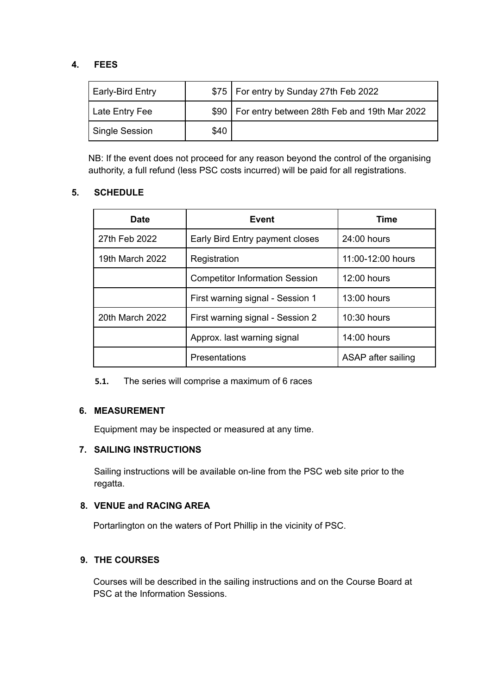# **4. FEES**

| Early-Bird Entry |      | \$75   For entry by Sunday 27th Feb 2022            |
|------------------|------|-----------------------------------------------------|
| Late Entry Fee   |      | \$90   For entry between 28th Feb and 19th Mar 2022 |
| Single Session   | \$40 |                                                     |

NB: If the event does not proceed for any reason beyond the control of the organising authority, a full refund (less PSC costs incurred) will be paid for all registrations.

# **5. SCHEDULE**

| <b>Date</b>     | Event                                 | Time               |
|-----------------|---------------------------------------|--------------------|
| 27th Feb 2022   | Early Bird Entry payment closes       | 24:00 hours        |
| 19th March 2022 | Registration                          | 11:00-12:00 hours  |
|                 | <b>Competitor Information Session</b> | 12:00 hours        |
|                 | First warning signal - Session 1      | $13:00$ hours      |
| 20th March 2022 | First warning signal - Session 2      | $10:30$ hours      |
|                 | Approx. last warning signal           | 14:00 hours        |
|                 | Presentations                         | ASAP after sailing |

**5.1.** The series will comprise a maximum of 6 races

# **6. MEASUREMENT**

Equipment may be inspected or measured at any time.

# **7. SAILING INSTRUCTIONS**

Sailing instructions will be available on-line from the PSC web site prior to the regatta.

# **8. VENUE and RACING AREA**

Portarlington on the waters of Port Phillip in the vicinity of PSC.

# **9. THE COURSES**

Courses will be described in the sailing instructions and on the Course Board at PSC at the Information Sessions.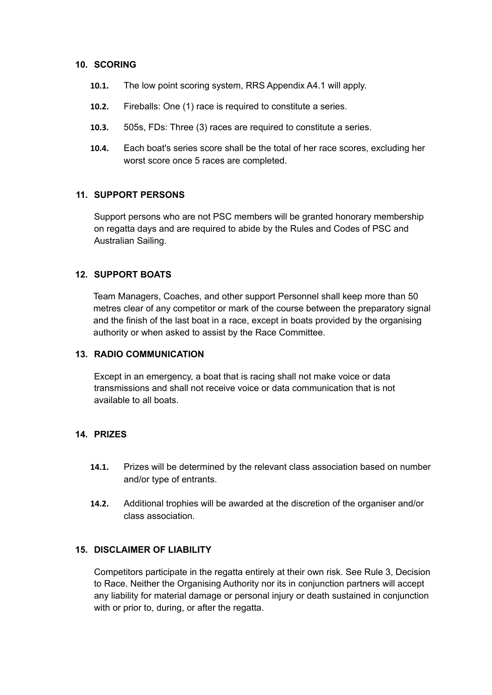#### **10. SCORING**

- **10.1.** The low point scoring system, RRS Appendix A4.1 will apply.
- **10.2.** Fireballs: One (1) race is required to constitute a series.
- **10.3.** 505s, FDs: Three (3) races are required to constitute a series.
- **10.4.** Each boat's series score shall be the total of her race scores, excluding her worst score once 5 races are completed.

#### **11. SUPPORT PERSONS**

Support persons who are not PSC members will be granted honorary membership on regatta days and are required to abide by the Rules and Codes of PSC and Australian Sailing.

#### **12. SUPPORT BOATS**

Team Managers, Coaches, and other support Personnel shall keep more than 50 metres clear of any competitor or mark of the course between the preparatory signal and the finish of the last boat in a race, except in boats provided by the organising authority or when asked to assist by the Race Committee.

#### **13. RADIO COMMUNICATION**

Except in an emergency, a boat that is racing shall not make voice or data transmissions and shall not receive voice or data communication that is not available to all boats.

#### **14. PRIZES**

- **14.1.** Prizes will be determined by the relevant class association based on number and/or type of entrants.
- **14.2.** Additional trophies will be awarded at the discretion of the organiser and/or class association.

#### **15. DISCLAIMER OF LIABILITY**

Competitors participate in the regatta entirely at their own risk. See Rule 3, Decision to Race. Neither the Organising Authority nor its in conjunction partners will accept any liability for material damage or personal injury or death sustained in conjunction with or prior to, during, or after the regatta.